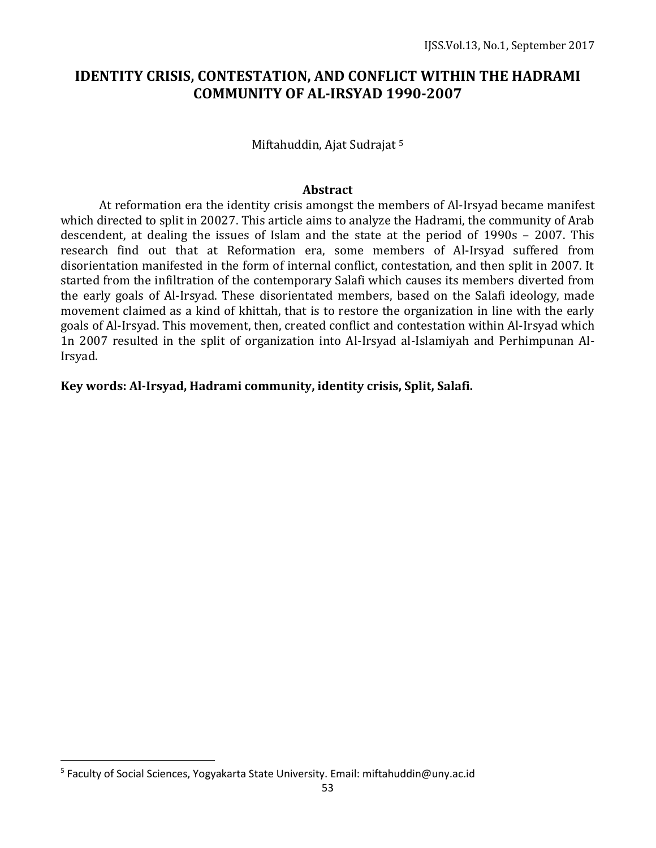# **IDENTITY CRISIS, CONTESTATION, AND CONFLICT WITHIN THE HADRAMI COMMUNITY OF AL-IRSYAD 1990-2007**

Miftahuddin, Ajat Sudrajat <sup>5</sup>

#### **Abstract**

At reformation era the identity crisis amongst the members of Al-Irsyad became manifest which directed to split in 20027. This article aims to analyze the Hadrami, the community of Arab descendent, at dealing the issues of Islam and the state at the period of 1990s – 2007. This research find out that at Reformation era, some members of Al-Irsyad suffered from disorientation manifested in the form of internal conflict, contestation, and then split in 2007. It started from the infiltration of the contemporary Salafi which causes its members diverted from the early goals of Al-Irsyad. These disorientated members, based on the Salafi ideology, made movement claimed as a kind of khittah, that is to restore the organization in line with the early goals of Al-Irsyad. This movement, then, created conflict and contestation within Al-Irsyad which 1n 2007 resulted in the split of organization into Al-Irsyad al-Islamiyah and Perhimpunan Al-Irsyad.

**Key words: Al-Irsyad, Hadrami community, identity crisis, Split, Salafi.**

 $\overline{a}$ 

<sup>&</sup>lt;sup>5</sup> Faculty of Social Sciences, Yogyakarta State University. Email: miftahuddin@uny.ac.id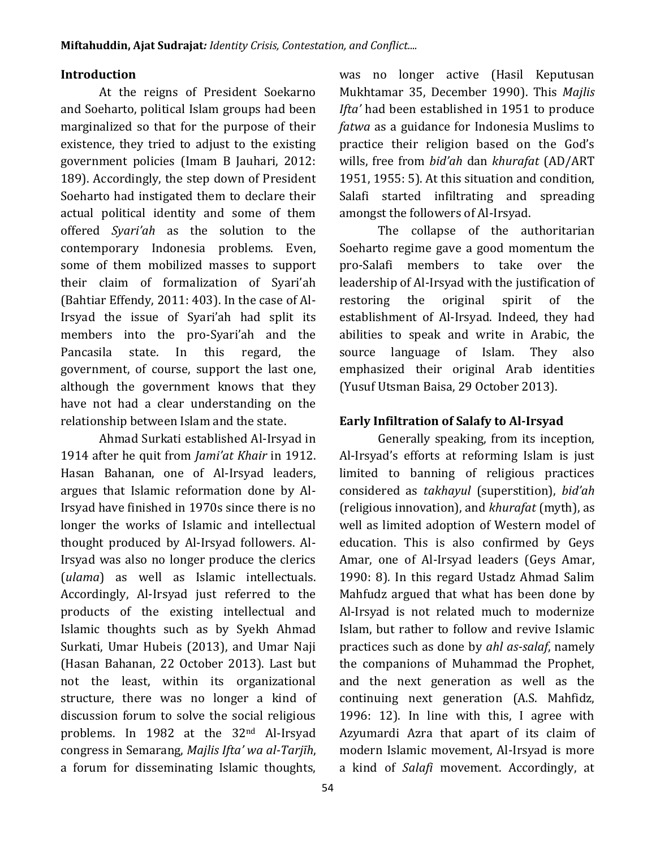#### **Introduction**

At the reigns of President Soekarno and Soeharto, political Islam groups had been marginalized so that for the purpose of their existence, they tried to adjust to the existing government policies (Imam B Jauhari, 2012: 189). Accordingly, the step down of President Soeharto had instigated them to declare their actual political identity and some of them offered *Syari'ah* as the solution to the contemporary Indonesia problems. Even, some of them mobilized masses to support their claim of formalization of Syari'ah (Bahtiar Effendy, 2011: 403). In the case of Al-Irsyad the issue of Syari'ah had split its members into the pro-Syari'ah and the Pancasila state. In this regard, the government, of course, support the last one, although the government knows that they have not had a clear understanding on the relationship between Islam and the state.

Ahmad Surkati established Al-Irsyad in 1914 after he quit from *Jami'at Khair* in 1912. Hasan Bahanan, one of Al-Irsyad leaders, argues that Islamic reformation done by Al-Irsyad have finished in 1970s since there is no longer the works of Islamic and intellectual thought produced by Al-Irsyad followers. Al-Irsyad was also no longer produce the clerics (*ulama*) as well as Islamic intellectuals. Accordingly, Al-Irsyad just referred to the products of the existing intellectual and Islamic thoughts such as by Syekh Ahmad Surkati, Umar Hubeis (2013), and Umar Naji (Hasan Bahanan, 22 October 2013). Last but not the least, within its organizational structure, there was no longer a kind of discussion forum to solve the social religious problems. In 1982 at the 32nd Al-Irsyad congress in Semarang, *Majlis Ifta' wa al-Tarjīh*, a forum for disseminating Islamic thoughts,

was no longer active (Hasil Keputusan Mukhtamar 35, December 1990). This *Majlis Ifta'* had been established in 1951 to produce *fatwa* as a guidance for Indonesia Muslims to practice their religion based on the God's wills, free from *bid'ah* dan *khurafat* (AD/ART 1951, 1955: 5). At this situation and condition, Salafi started infiltrating and spreading amongst the followers of Al-Irsyad.

The collapse of the authoritarian Soeharto regime gave a good momentum the pro-Salafi members to take over the leadership of Al-Irsyad with the justification of restoring the original spirit of the establishment of Al-Irsyad. Indeed, they had abilities to speak and write in Arabic, the source language of Islam. They also emphasized their original Arab identities (Yusuf Utsman Baisa, 29 October 2013).

### **Early Infiltration of Salafy to Al-Irsyad**

Generally speaking, from its inception, Al-Irsyad's efforts at reforming Islam is just limited to banning of religious practices considered as *takhayul* (superstition), *bid'ah*  (religious innovation), and *khurafat* (myth), as well as limited adoption of Western model of education. This is also confirmed by Geys Amar, one of Al-Irsyad leaders (Geys Amar, 1990: 8)*.* In this regard Ustadz Ahmad Salim Mahfudz argued that what has been done by Al-Irsyad is not related much to modernize Islam, but rather to follow and revive Islamic practices such as done by *ahl as-salaf*, namely the companions of Muhammad the Prophet, and the next generation as well as the continuing next generation (A.S. Mahfidz, 1996: 12). In line with this, I agree with Azyumardi Azra that apart of its claim of modern Islamic movement, Al-Irsyad is more a kind of *Salafi* movement. Accordingly, at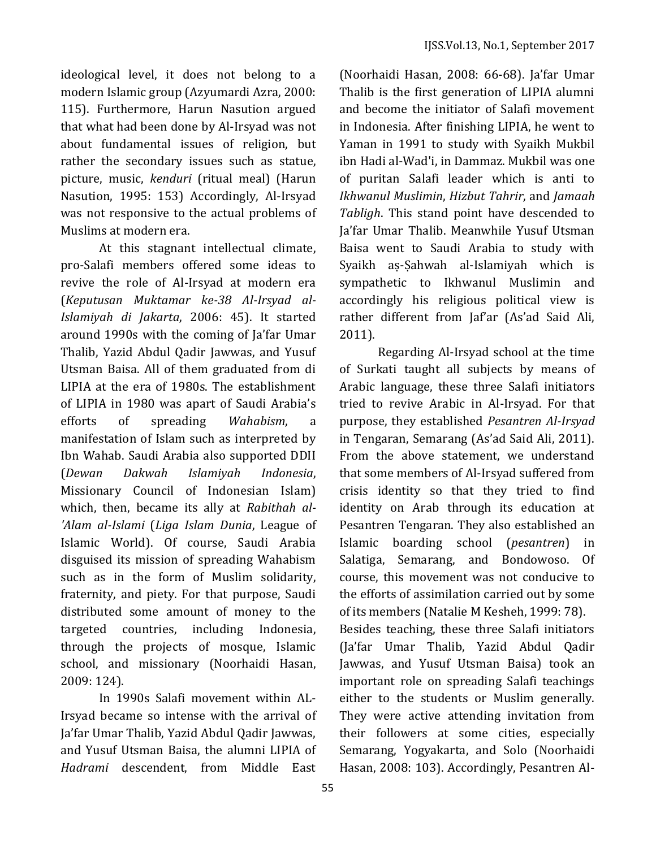ideological level, it does not belong to a modern Islamic group (Azyumardi Azra, 2000: 115). Furthermore, Harun Nasution argued that what had been done by Al-Irsyad was not about fundamental issues of religion, but rather the secondary issues such as statue, picture, music, *kenduri* (ritual meal) (Harun Nasution, 1995: 153) Accordingly, Al-Irsyad was not responsive to the actual problems of Muslims at modern era.

At this stagnant intellectual climate, pro-Salafi members offered some ideas to revive the role of Al-Irsyad at modern era (*Keputusan Muktamar ke-38 Al-Irsyad al-Islamiyah di Jakarta*, 2006: 45). It started around 1990s with the coming of Ja'far Umar Thalib, Yazid Abdul Qadir Jawwas, and Yusuf Utsman Baisa. All of them graduated from di LIPIA at the era of 1980s. The establishment of LIPIA in 1980 was apart of Saudi Arabia's efforts of spreading *Wahabism*, a manifestation of Islam such as interpreted by Ibn Wahab. Saudi Arabia also supported DDII (*Dewan Dakwah Islamiyah Indonesia*, Missionary Council of Indonesian Islam) which, then, became its ally at *Rabithah al- 'Alam al-Islami* (*Liga Islam Dunia*, League of Islamic World). Of course, Saudi Arabia disguised its mission of spreading Wahabism such as in the form of Muslim solidarity, fraternity, and piety. For that purpose, Saudi distributed some amount of money to the targeted countries, including Indonesia, through the projects of mosque, Islamic school, and missionary (Noorhaidi Hasan, 2009: 124).

In 1990s Salafi movement within AL-Irsyad became so intense with the arrival of Ja'far Umar Thalib, Yazid Abdul Qadir Jawwas, and Yusuf Utsman Baisa, the alumni LIPIA of *Hadrami* descendent, from Middle East

(Noorhaidi Hasan, 2008: 66-68). Ja'far Umar Thalib is the first generation of LIPIA alumni and become the initiator of Salafi movement in Indonesia. After finishing LIPIA, he went to Yaman in 1991 to study with Syaikh Mukbil ibn Hadi al-Wad'i, in Dammaz. Mukbil was one of puritan Salafi leader which is anti to *Ikhwanul Muslimin*, *Hizbut Tahrir*, and *Jamaah Tabligh*. This stand point have descended to Ja'far Umar Thalib. Meanwhile Yusuf Utsman Baisa went to Saudi Arabia to study with Syaikh aṣ-Ṣahwah al-Islamiyah which is sympathetic to Ikhwanul Muslimin and accordingly his religious political view is rather different from Jaf'ar (As'ad Said Ali, 2011).

Regarding Al-Irsyad school at the time of Surkati taught all subjects by means of Arabic language, these three Salafi initiators tried to revive Arabic in Al-Irsyad. For that purpose, they established *Pesantren Al-Irsyad* in Tengaran, Semarang (As'ad Said Ali, 2011). From the above statement, we understand that some members of Al-Irsyad suffered from crisis identity so that they tried to find identity on Arab through its education at Pesantren Tengaran. They also established an Islamic boarding school (*pesantren*) in Salatiga, Semarang, and Bondowoso. Of course, this movement was not conducive to the efforts of assimilation carried out by some of its members (Natalie M Kesheh, 1999: 78).

Besides teaching, these three Salafi initiators (Ja'far Umar Thalib, Yazid Abdul Qadir Jawwas, and Yusuf Utsman Baisa) took an important role on spreading Salafi teachings either to the students or Muslim generally. They were active attending invitation from their followers at some cities, especially Semarang, Yogyakarta, and Solo (Noorhaidi Hasan, 2008: 103). Accordingly, Pesantren Al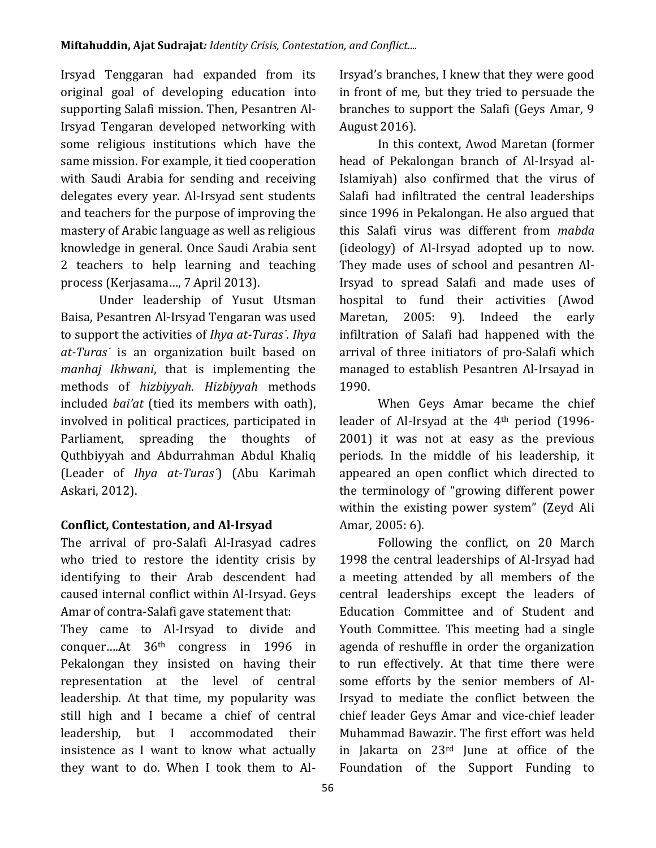Irsyad Tenggaran had expanded from its original goal of developing education into supporting Salafi mission. Then, Pesantren Al-Irsyad Tengaran developed networking with some religious institutions which have the same mission. For example, it tied cooperation with Saudi Arabia for sending and receiving delegates every year. Al-Irsyad sent students and teachers for the purpose of improving the mastery of Arabic language as well as religious knowledge in general. Once Saudi Arabia sent 2 teachers to help learning and teaching process (Kerjasama…, 7 April 2013).

Under leadership of Yusut Utsman Baisa, Pesantren Al-Irsyad Tengaran was used to support the activities of *Ihya at-Turas˙*. *Ihya at-Turas˙* is an organization built based on *manhaj Ikhwani*, that is implementing the methods of *hizbiyyah*. *Hizbiyyah* methods included *bai'at* (tied its members with oath), involved in political practices, participated in Parliament, spreading the thoughts of Quthbiyyah and Abdurrahman Abdul Khaliq (Leader of *Ihya at-Turas˙*) (Abu Karimah Askari, 2012).

## **Conflict, Contestation, and Al-Irsyad**

The arrival of pro-Salafi Al-Irasyad cadres who tried to restore the identity crisis by identifying to their Arab descendent had caused internal conflict within Al-Irsyad. Geys Amar of contra-Salafi gave statement that:

They came to Al-Irsyad to divide and conquer….At 36th congress in 1996 in Pekalongan they insisted on having their representation at the level of central leadership. At that time, my popularity was still high and I became a chief of central leadership, but I accommodated their insistence as I want to know what actually they want to do. When I took them to AlIrsyad's branches, I knew that they were good in front of me, but they tried to persuade the branches to support the Salafi (Geys Amar, 9 August 2016).

In this context, Awod Maretan (former head of Pekalongan branch of Al-Irsyad al-Islamiyah) also confirmed that the virus of Salafi had infiltrated the central leaderships since 1996 in Pekalongan. He also argued that this Salafi virus was different from *mabda*  (ideology) of Al-Irsyad adopted up to now. They made uses of school and pesantren Al-Irsyad to spread Salafi and made uses of hospital to fund their activities (Awod Maretan, 2005: 9). Indeed the early infiltration of Salafi had happened with the arrival of three initiators of pro-Salafi which managed to establish Pesantren Al-Irsayad in 1990.

When Geys Amar became the chief leader of Al-Irsyad at the 4th period (1996- 2001) it was not at easy as the previous periods. In the middle of his leadership, it appeared an open conflict which directed to the terminology of "growing different power within the existing power system" (Zeyd Ali Amar, 2005: 6).

Following the conflict, on 20 March 1998 the central leaderships of Al-Irsyad had a meeting attended by all members of the central leaderships except the leaders of Education Committee and of Student and Youth Committee. This meeting had a single agenda of reshuffle in order the organization to run effectively. At that time there were some efforts by the senior members of Al-Irsyad to mediate the conflict between the chief leader Geys Amar and vice-chief leader Muhammad Bawazir. The first effort was held in Jakarta on 23rd June at office of the Foundation of the Support Funding to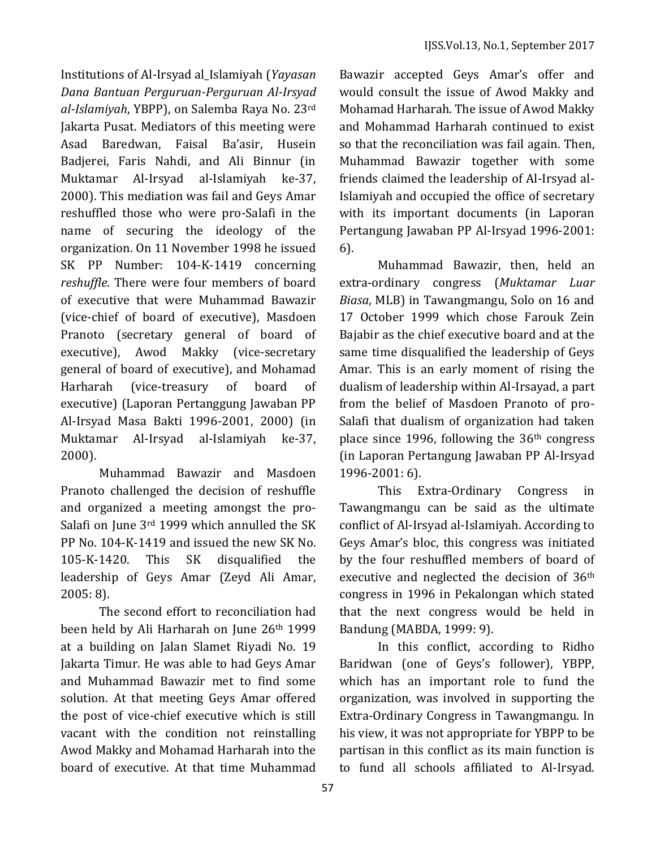Institutions of Al-Irsyad al\_Islamiyah (*Yayasan Dana Bantuan Perguruan-Perguruan Al-Irsyad al-Islamiyah*, YBPP), on Salemba Raya No. 23rd Jakarta Pusat. Mediators of this meeting were Asad Baredwan, Faisal Ba'asir, Husein Badjerei, Faris Nahdi, and Ali Binnur (in Muktamar Al-Irsyad al-Islamiyah ke-37, 2000). This mediation was fail and Geys Amar reshuffled those who were pro-Salafi in the name of securing the ideology of the organization. On 11 November 1998 he issued SK PP Number: 104-K-1419 concerning *reshuffle*. There were four members of board of executive that were Muhammad Bawazir (vice-chief of board of executive), Masdoen Pranoto (secretary general of board of executive), Awod Makky (vice-secretary general of board of executive), and Mohamad Harharah (vice-treasury of board of executive) (Laporan Pertanggung Jawaban PP Al-Irsyad Masa Bakti 1996-2001, 2000) (in Muktamar Al-Irsyad al-Islamiyah ke-37, 2000).

Muhammad Bawazir and Masdoen Pranoto challenged the decision of reshuffle and organized a meeting amongst the pro-Salafi on June 3rd 1999 which annulled the SK PP No. 104-K-1419 and issued the new SK No. 105-K-1420. This SK disqualified the leadership of Geys Amar (Zeyd Ali Amar, 2005: 8).

The second effort to reconciliation had been held by Ali Harharah on June 26th 1999 at a building on Jalan Slamet Riyadi No. 19 Jakarta Timur. He was able to had Geys Amar and Muhammad Bawazir met to find some solution. At that meeting Geys Amar offered the post of vice-chief executive which is still vacant with the condition not reinstalling Awod Makky and Mohamad Harharah into the board of executive. At that time Muhammad

Bawazir accepted Geys Amar's offer and would consult the issue of Awod Makky and Mohamad Harharah. The issue of Awod Makky and Mohammad Harharah continued to exist so that the reconciliation was fail again. Then, Muhammad Bawazir together with some friends claimed the leadership of Al-Irsyad al-Islamiyah and occupied the office of secretary with its important documents (in Laporan Pertangung Jawaban PP Al-Irsyad 1996-2001: 6).

Muhammad Bawazir, then, held an extra-ordinary congress (*Muktamar Luar Biasa*, MLB) in Tawangmangu, Solo on 16 and 17 October 1999 which chose Farouk Zein Bajabir as the chief executive board and at the same time disqualified the leadership of Geys Amar. This is an early moment of rising the dualism of leadership within Al-Irsayad, a part from the belief of Masdoen Pranoto of pro-Salafi that dualism of organization had taken place since 1996, following the 36th congress (in Laporan Pertangung Jawaban PP Al-Irsyad 1996-2001: 6).

This Extra-Ordinary Congress in Tawangmangu can be said as the ultimate conflict of Al-Irsyad al-Islamiyah. According to Geys Amar's bloc, this congress was initiated by the four reshuffled members of board of executive and neglected the decision of 36th congress in 1996 in Pekalongan which stated that the next congress would be held in Bandung (MABDA, 1999: 9).

In this conflict, according to Ridho Baridwan (one of Geys's follower), YBPP, which has an important role to fund the organization, was involved in supporting the Extra-Ordinary Congress in Tawangmangu. In his view, it was not appropriate for YBPP to be partisan in this conflict as its main function is to fund all schools affiliated to Al-Irsyad.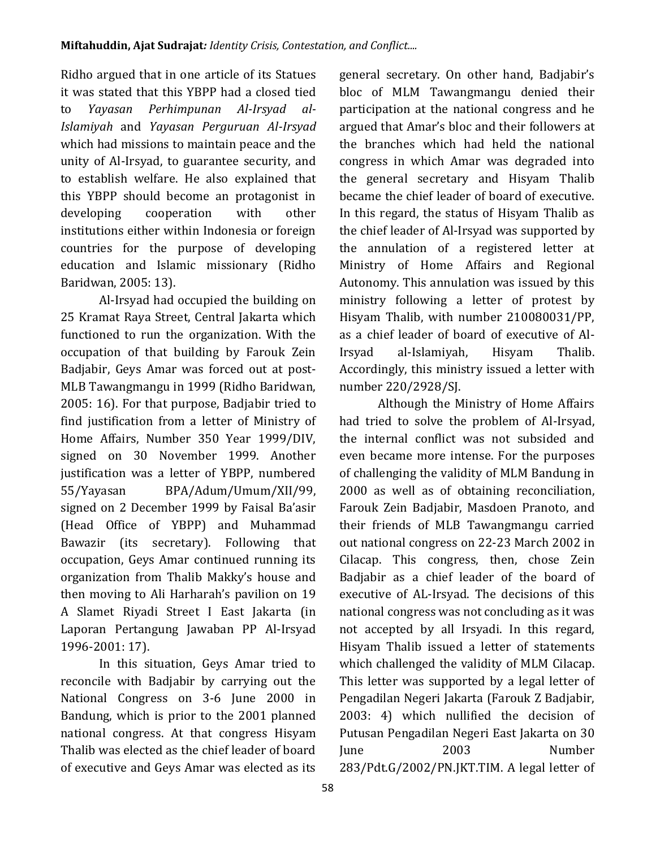Ridho argued that in one article of its Statues it was stated that this YBPP had a closed tied to *Yayasan Perhimpunan Al-Irsyad al-Islamiyah* and *Yayasan Perguruan Al-Irsyad*  which had missions to maintain peace and the unity of Al-Irsyad, to guarantee security, and to establish welfare. He also explained that this YBPP should become an protagonist in developing cooperation with other institutions either within Indonesia or foreign countries for the purpose of developing education and Islamic missionary (Ridho Baridwan, 2005: 13).

Al-Irsyad had occupied the building on 25 Kramat Raya Street, Central Jakarta which functioned to run the organization. With the occupation of that building by Farouk Zein Badjabir, Geys Amar was forced out at post-MLB Tawangmangu in 1999 (Ridho Baridwan, 2005: 16). For that purpose, Badjabir tried to find justification from a letter of Ministry of Home Affairs, Number 350 Year 1999/DIV, signed on 30 November 1999. Another justification was a letter of YBPP, numbered 55/Yayasan BPA/Adum/Umum/XII/99, signed on 2 December 1999 by Faisal Ba'asir (Head Office of YBPP) and Muhammad Bawazir (its secretary). Following that occupation, Geys Amar continued running its organization from Thalib Makky's house and then moving to Ali Harharah's pavilion on 19 A Slamet Riyadi Street I East Jakarta (in Laporan Pertangung Jawaban PP Al-Irsyad 1996-2001: 17).

In this situation, Geys Amar tried to reconcile with Badjabir by carrying out the National Congress on 3-6 June 2000 in Bandung, which is prior to the 2001 planned national congress. At that congress Hisyam Thalib was elected as the chief leader of board of executive and Geys Amar was elected as its general secretary. On other hand, Badjabir's bloc of MLM Tawangmangu denied their participation at the national congress and he argued that Amar's bloc and their followers at the branches which had held the national congress in which Amar was degraded into the general secretary and Hisyam Thalib became the chief leader of board of executive. In this regard, the status of Hisyam Thalib as the chief leader of Al-Irsyad was supported by the annulation of a registered letter at Ministry of Home Affairs and Regional Autonomy. This annulation was issued by this ministry following a letter of protest by Hisyam Thalib, with number 210080031/PP, as a chief leader of board of executive of Al-Irsyad al-Islamiyah, Hisyam Thalib. Accordingly, this ministry issued a letter with number 220/2928/SJ.

Although the Ministry of Home Affairs had tried to solve the problem of Al-Irsyad, the internal conflict was not subsided and even became more intense. For the purposes of challenging the validity of MLM Bandung in 2000 as well as of obtaining reconciliation, Farouk Zein Badjabir, Masdoen Pranoto, and their friends of MLB Tawangmangu carried out national congress on 22-23 March 2002 in Cilacap. This congress, then, chose Zein Badjabir as a chief leader of the board of executive of AL-Irsyad. The decisions of this national congress was not concluding as it was not accepted by all Irsyadi. In this regard, Hisyam Thalib issued a letter of statements which challenged the validity of MLM Cilacap. This letter was supported by a legal letter of Pengadilan Negeri Jakarta (Farouk Z Badjabir, 2003: 4) which nullified the decision of Putusan Pengadilan Negeri East Jakarta on 30 June 2003 Number 283/Pdt.G/2002/PN.JKT.TIM. A legal letter of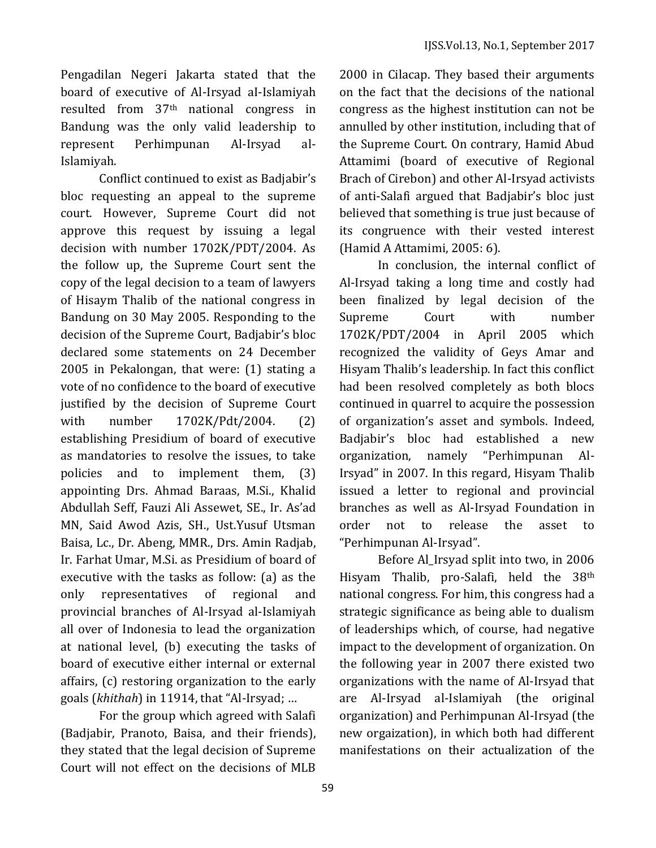Pengadilan Negeri Jakarta stated that the board of executive of Al-Irsyad aI-Islamiyah resulted from 37th national congress in Bandung was the only valid leadership to represent Perhimpunan Al-Irsyad al-Islamiyah.

Conflict continued to exist as Badjabir's bloc requesting an appeal to the supreme court. However, Supreme Court did not approve this request by issuing a legal decision with number 1702K/PDT/2004. As the follow up, the Supreme Court sent the copy of the legal decision to a team of lawyers of Hisaym Thalib of the national congress in Bandung on 30 May 2005. Responding to the decision of the Supreme Court, Badjabir's bloc declared some statements on 24 December 2005 in Pekalongan, that were: (1) stating a vote of no confidence to the board of executive justified by the decision of Supreme Court with number 1702K/Pdt/2004. (2) establishing Presidium of board of executive as mandatories to resolve the issues, to take policies and to implement them, (3) appointing Drs. Ahmad Baraas, M.Si., Khalid Abdullah Seff, Fauzi Ali Assewet, SE., Ir. As'ad MN, Said Awod Azis, SH., Ust.Yusuf Utsman Baisa, Lc., Dr. Abeng, MMR., Drs. Amin Radjab, Ir. Farhat Umar, M.Si. as Presidium of board of executive with the tasks as follow: (a) as the only representatives of regional and provincial branches of Al-Irsyad al-Islamiyah all over of Indonesia to lead the organization at national level, (b) executing the tasks of board of executive either internal or external affairs, (c) restoring organization to the early goals (*khithah*) in 11914, that "Al-Irsyad; …

For the group which agreed with Salafi (Badjabir, Pranoto, Baisa, and their friends), they stated that the legal decision of Supreme Court will not effect on the decisions of MLB

2000 in Cilacap. They based their arguments on the fact that the decisions of the national congress as the highest institution can not be annulled by other institution, including that of the Supreme Court. On contrary, Hamid Abud Attamimi (board of executive of Regional Brach of Cirebon) and other Al-Irsyad activists of anti-Salafi argued that Badjabir's bloc just believed that something is true just because of its congruence with their vested interest (Hamid A Attamimi, 2005: 6).

In conclusion, the internal conflict of Al-Irsyad taking a long time and costly had been finalized by legal decision of the Supreme Court with number 1702K/PDT/2004 in April 2005 which recognized the validity of Geys Amar and Hisyam Thalib's leadership. In fact this conflict had been resolved completely as both blocs continued in quarrel to acquire the possession of organization's asset and symbols. Indeed, Badjabir's bloc had established a new organization, namely "Perhimpunan Al-Irsyad" in 2007. In this regard, Hisyam Thalib issued a letter to regional and provincial branches as well as Al-Irsyad Foundation in order not to release the asset to "Perhimpunan Al-Irsyad".

Before Al\_Irsyad split into two, in 2006 Hisyam Thalib, pro-Salafi, held the 38th national congress. For him, this congress had a strategic significance as being able to dualism of leaderships which, of course, had negative impact to the development of organization. On the following year in 2007 there existed two organizations with the name of Al-Irsyad that are Al-Irsyad al-Islamiyah (the original organization) and Perhimpunan Al-Irsyad (the new orgaization), in which both had different manifestations on their actualization of the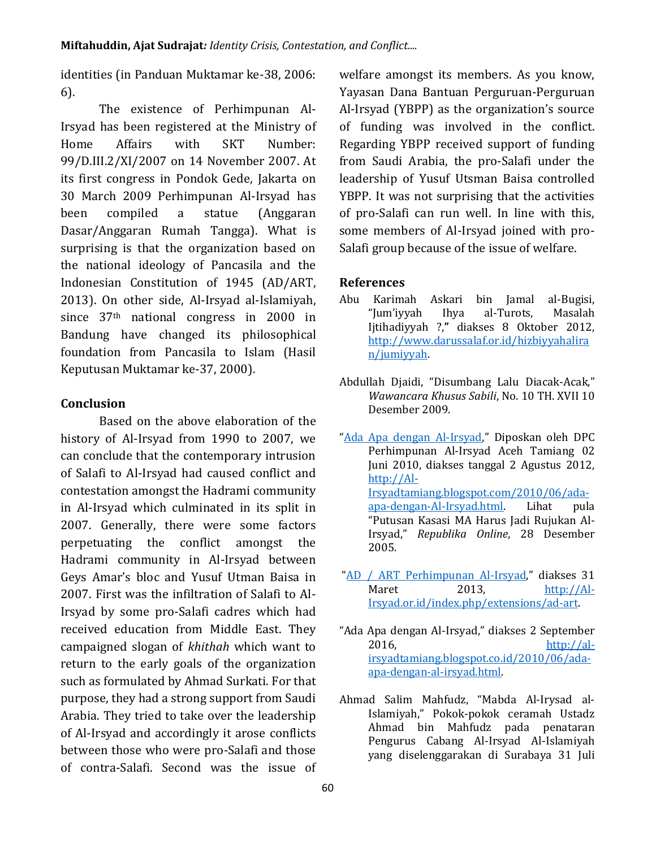identities (in Panduan Muktamar ke-38, 2006: 6).

The existence of Perhimpunan Al-Irsyad has been registered at the Ministry of Home Affairs with SKT Number: 99/D.III.2/XI/2007 on 14 November 2007. At its first congress in Pondok Gede, Jakarta on 30 March 2009 Perhimpunan Al-Irsyad has been compiled a statue (Anggaran Dasar/Anggaran Rumah Tangga). What is surprising is that the organization based on the national ideology of Pancasila and the Indonesian Constitution of 1945 (AD/ART, 2013). On other side, Al-Irsyad al-Islamiyah, since 37th national congress in 2000 in Bandung have changed its philosophical foundation from Pancasila to Islam (Hasil Keputusan Muktamar ke-37, 2000).

## **Conclusion**

Based on the above elaboration of the history of Al-Irsyad from 1990 to 2007, we can conclude that the contemporary intrusion of Salafi to Al-Irsyad had caused conflict and contestation amongst the Hadrami community in Al-Irsyad which culminated in its split in 2007. Generally, there were some factors perpetuating the conflict amongst the Hadrami community in Al-Irsyad between Geys Amar's bloc and Yusuf Utman Baisa in 2007. First was the infiltration of Salafi to Al-Irsyad by some pro-Salafi cadres which had received education from Middle East. They campaigned slogan of *khithah* which want to return to the early goals of the organization such as formulated by Ahmad Surkati. For that purpose, they had a strong support from Saudi Arabia. They tried to take over the leadership of Al-Irsyad and accordingly it arose conflicts between those who were pro-Salafi and those of contra-Salafi. Second was the issue of welfare amongst its members. As you know, Yayasan Dana Bantuan Perguruan-Perguruan Al-Irsyad (YBPP) as the organization's source of funding was involved in the conflict. Regarding YBPP received support of funding from Saudi Arabia, the pro-Salafi under the leadership of Yusuf Utsman Baisa controlled YBPP. It was not surprising that the activities of pro-Salafi can run well. In line with this, some members of Al-Irsyad joined with pro-Salafi group because of the issue of welfare.

### **References**

- Abu Karimah Askari bin Jamal al-Bugisi, "Jum'iyyah Ihya al-Turots, Masalah Ijtihadiyyah ?,**"** diakses 8 Oktober 2012, [http://www.darussalaf.or.id/hizbiyyahalira](http://www.darussalaf.or.id/hizbiyyahaliran/jumiyyah) [n/jumiyyah.](http://www.darussalaf.or.id/hizbiyyahaliran/jumiyyah)
- Abdullah Djaidi, "Disumbang Lalu Diacak-Acak," *Wawancara Khusus Sabili*, No. 10 TH. XVII 10 Desember 2009.
- "[Ada Apa dengan Al-Irsyad](http://al-irsyadtamiang.blogspot.com/2010/06/ada-apa-dengan-al-irsyad.html)," Diposkan oleh DPC Perhimpunan Al-Irsyad Aceh Tamiang 02 Juni 2010, diakses tanggal 2 Agustus 2012, [http://Al-](http://al-irsyadtamiang.blogspot.com/2010/06/ada-apa-dengan-al-irsyad.html)[Irsyadtamiang.blogspot.com/2010/06/ada](http://al-irsyadtamiang.blogspot.com/2010/06/ada-apa-dengan-al-irsyad.html)[apa-dengan-Al-Irsyad.html.](http://al-irsyadtamiang.blogspot.com/2010/06/ada-apa-dengan-al-irsyad.html) Lihat pula "Putusan Kasasi MA Harus Jadi Rujukan Al-Irsyad," *Republika Online*, 28 Desember 2005.
- "[AD / ART Perhimpunan Al-Irsyad](http://al-irsyad.or.id/index.php/extensions/ad-art)," diakses 31 Maret 2013, [http://Al-](http://al-irsyad.or.id/index.php/extensions/ad-art)[Irsyad.or.id/index.php/extensions/ad-art.](http://al-irsyad.or.id/index.php/extensions/ad-art)
- "Ada Apa dengan Al-Irsyad," diakses 2 September 2016, [http://al](http://al-irsyadtamiang.blogspot.co.id/2010/06/ada-apa-dengan-al-irsyad.html)[irsyadtamiang.blogspot.co.id/2010/06/ada](http://al-irsyadtamiang.blogspot.co.id/2010/06/ada-apa-dengan-al-irsyad.html)[apa-dengan-al-irsyad.html.](http://al-irsyadtamiang.blogspot.co.id/2010/06/ada-apa-dengan-al-irsyad.html)
- Ahmad Salim Mahfudz, "Mabda Al-Irysad al-Islamiyah," Pokok-pokok ceramah Ustadz Ahmad bin Mahfudz pada penataran Pengurus Cabang Al-Irsyad Al-Islamiyah yang diselenggarakan di Surabaya 31 Juli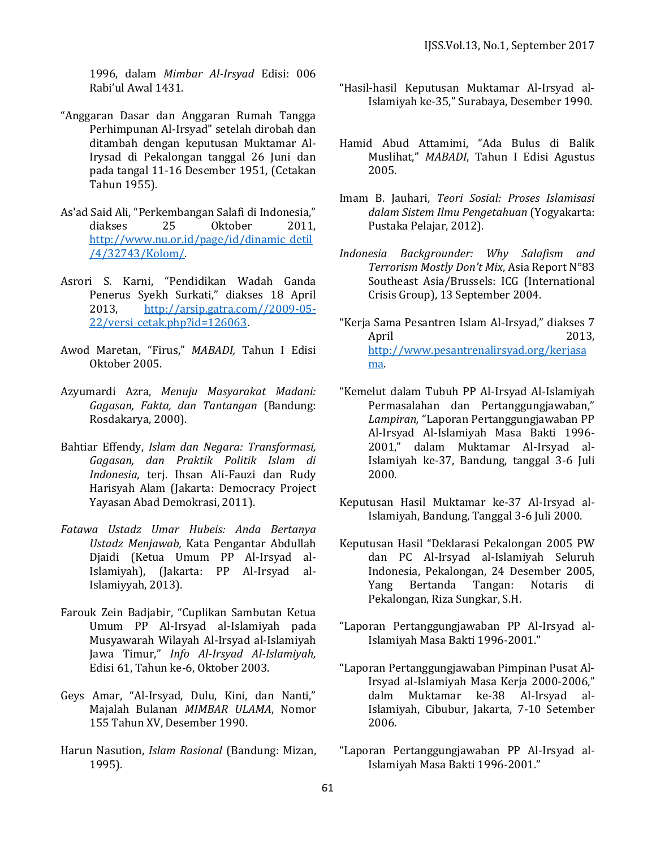1996, dalam *Mimbar Al-Irsyad* Edisi: 006 Rabi'ul Awal 1431.

- "Anggaran Dasar dan Anggaran Rumah Tangga Perhimpunan Al-Irsyad" setelah dirobah dan ditambah dengan keputusan Muktamar Al-Irysad di Pekalongan tanggal 26 Juni dan pada tangal 11-16 Desember 1951, (Cetakan Tahun 1955).
- As'ad Said Ali, "Perkembangan Salafi di Indonesia," diakses 25 Oktober 2011, [http://www.nu.or.id/page/id/dinamic\\_detil](http://www.nu.or.id/page/id/dinamic_detil/4/32743/Kolom/) [/4/32743/Kolom/.](http://www.nu.or.id/page/id/dinamic_detil/4/32743/Kolom/)
- Asrori S. Karni, "Pendidikan Wadah Ganda Penerus Syekh Surkati," diakses 18 April 2013, [http://arsip.gatra.com//2009-05-](http://arsip.gatra.com/2009-05-22/versi_cetak.php?id=126063) [22/versi\\_cetak.php?id=126063.](http://arsip.gatra.com/2009-05-22/versi_cetak.php?id=126063)
- Awod Maretan, "Firus," *MABADI,* Tahun I Edisi Oktober 2005.
- Azyumardi Azra, *Menuju Masyarakat Madani: Gagasan, Fakta, dan Tantangan* (Bandung: Rosdakarya, 2000).
- Bahtiar Effendy, *Islam dan Negara: Transformasi, Gagasan, dan Praktik Politik Islam di Indonesia*, terj. Ihsan Ali-Fauzi dan Rudy Harisyah Alam (Jakarta: Democracy Project Yayasan Abad Demokrasi, 2011).
- *Fatawa Ustadz Umar Hubeis: Anda Bertanya Ustadz Menjawab,* Kata Pengantar Abdullah Djaidi (Ketua Umum PP Al-Irsyad al-Islamiyah), (Jakarta: PP Al-Irsyad al-Islamiyyah, 2013).
- Farouk Zein Badjabir, "Cuplikan Sambutan Ketua Umum PP Al-Irsyad al-Islamiyah pada Musyawarah Wilayah Al-Irsyad al-Islamiyah Jawa Timur," *Info Al-Irsyad Al-Islamiyah,* Edisi 61, Tahun ke-6, Oktober 2003.
- Geys Amar, "Al-Irsyad, Dulu, Kini, dan Nanti," Majalah Bulanan *MIMBAR ULAMA*, Nomor 155 Tahun XV, Desember 1990.
- Harun Nasution, *Islam Rasional* (Bandung: Mizan, 1995).
- "Hasil-hasil Keputusan Muktamar Al-Irsyad al-Islamiyah ke-35," Surabaya, Desember 1990.
- Hamid Abud Attamimi, "Ada Bulus di Balik Muslihat," *MABADI*, Tahun I Edisi Agustus 2005.
- Imam B. Jauhari, *Teori Sosial: Proses Islamisasi dalam Sistem Ilmu Pengetahuan* (Yogyakarta: Pustaka Pelajar, 2012).
- *Indonesia Backgrounder: Why Salafism and Terrorism Mostly Don't Mix*, Asia Report N°83 Southeast Asia/Brussels: ICG (International Crisis Group), 13 September 2004.
- "Kerja Sama Pesantren Islam Al-Irsyad," diakses 7 April 2013, [http://www.pesantrenalirsyad.org/kerjasa](http://www.pesantrenalirsyad.org/kerjasama) [ma.](http://www.pesantrenalirsyad.org/kerjasama)
- "Kemelut dalam Tubuh PP Al-Irsyad Al-Islamiyah Permasalahan dan Pertanggungjawaban," *Lampiran,* "Laporan Pertanggungjawaban PP Al-Irsyad Al-Islamiyah Masa Bakti 1996- 2001," dalam Muktamar Al-Irsyad al-Islamiyah ke-37, Bandung, tanggal 3-6 Juli 2000.
- Keputusan Hasil Muktamar ke-37 Al-Irsyad al-Islamiyah, Bandung, Tanggal 3-6 Juli 2000.
- Keputusan Hasil "Deklarasi Pekalongan 2005 PW dan PC Al-Irsyad al-Islamiyah Seluruh Indonesia, Pekalongan, 24 Desember 2005, Yang Bertanda Tangan: Notaris di Pekalongan, Riza Sungkar, S.H.
- "Laporan Pertanggungjawaban PP Al-Irsyad al-Islamiyah Masa Bakti 1996-2001."
- "Laporan Pertanggungjawaban Pimpinan Pusat Al-Irsyad al-Islamiyah Masa Kerja 2000-2006," dalm Muktamar ke-38 Al-Irsyad al-Islamiyah, Cibubur, Jakarta, 7-10 Setember 2006.
- "Laporan Pertanggungjawaban PP Al-Irsyad al-Islamiyah Masa Bakti 1996-2001."